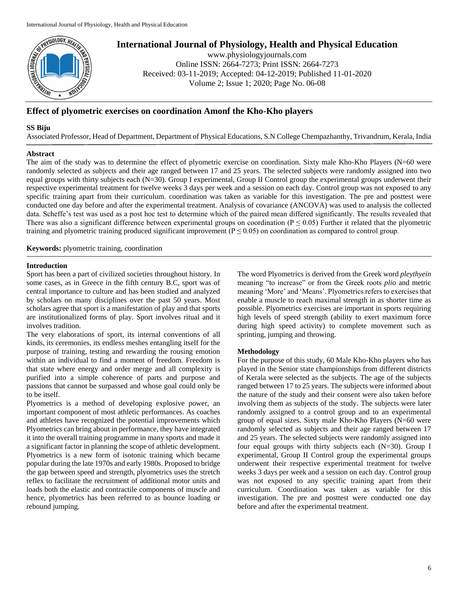

# **International Journal of Physiology, Health and Physical Education**

www.physiologyjournals.com Online ISSN: 2664-7273; Print ISSN: 2664-7273 Received: 03-11-2019; Accepted: 04-12-2019; Published 11-01-2020 Volume 2; Issue 1; 2020; Page No. 06-08

## **Effect of plyometric exercises on coordination Amonf the Kho-Kho players**

#### **SS Biju**

Associated Professor, Head of Department, Department of Physical Educations, S.N College Chempazhanthy, Trivandrum, Kerala, India

### **Abstract**

The aim of the study was to determine the effect of plyometric exercise on coordination. Sixty male Kho-Kho Players (N=60 were randomly selected as subjects and their age ranged between 17 and 25 years. The selected subjects were randomly assigned into two equal groups with thirty subjects each (N=30). Group I experimental, Group II Control group the experimental groups underwent their respective experimental treatment for twelve weeks 3 days per week and a session on each day. Control group was not exposed to any specific training apart from their curriculum. coordination was taken as variable for this investigation. The pre and posttest were conducted one day before and after the experimental treatment. Analysis of covariance (ANCOVA) was used to analysis the collected data. Scheffe's test was used as a post hoc test to determine which of the paired mean differed significantly. The results revealed that There was also a significant difference between experimental groups on coordination ( $P \le 0.05$ ) Further it related that the plyometric training and plyometric training produced significant improvement ( $P \le 0.05$ ) on coordination as compared to control group.

**Keywords:** plyometric training, coordination

#### **Introduction**

Sport has been a part of civilized societies throughout history. In some cases, as in Greece in the fifth century B.C, sport was of central importance to culture and has been studied and analyzed by scholars on many disciplines over the past 50 years. Most scholars agree that sport is a manifestation of play and that sports are institutionalized forms of play. Sport involves ritual and it involves tradition.

The very elaborations of sport, its internal conventions of all kinds, its ceremonies, its endless meshes entangling itself for the purpose of training, testing and rewarding the rousing emotion within an individual to find a moment of freedom. Freedom is that state where energy and order merge and all complexity is purified into a simple coherence of parts and purpose and passions that cannot be surpassed and whose goal could only be to be itself.

Plyometrics is a method of developing explosive power, an important component of most athletic performances. As coaches and athletes have recognized the potential improvements which Plyometrics can bring about in performance, they have integrated it into the overall training programme in many sports and made it a significant factor in planning the scope of athletic development. Plyometrics is a new form of isotonic training which became popular during the late 1970s and early 1980s. Proposed to bridge the gap between speed and strength, plyometrics uses the stretch reflex to facilitate the recruitment of additional motor units and loads both the elastic and contractile components of muscle and hence, plyometrics has been referred to as bounce loading or rebound jumping.

The word Plyometrics is derived from the Greek word *pleythyein* meaning "to increase" or from the Greek roots *plio* and metric meaning 'More' and 'Means'. Plyometrics refers to exercises that enable a muscle to reach maximal strength in as shorter time as possible. Plyometrics exercises are important in sports requiring high levels of speed strength (ability to exert maximum force during high speed activity) to complete movement such as sprinting, jumping and throwing.

#### **Methodology**

For the purpose of this study, 60 Male Kho-Kho players who has played in the Senior state championships from different districts of Kerala were selected as the subjects. The age of the subjects ranged between 17 to 25 years. The subjects were informed about the nature of the study and their consent were also taken before involving them as subjects of the study. The subjects were later randomly assigned to a control group and to an experimental group of equal sizes. Sixty male Kho-Kho Players (N=60 were randomly selected as subjects and their age ranged between 17 and 25 years. The selected subjects were randomly assigned into four equal groups with thirty subjects each (N=30). Group I experimental, Group II Control group the experimental groups underwent their respective experimental treatment for twelve weeks 3 days per week and a session on each day. Control group was not exposed to any specific training apart from their curriculum. Coordination was taken as variable for this investigation. The pre and posttest were conducted one day before and after the experimental treatment.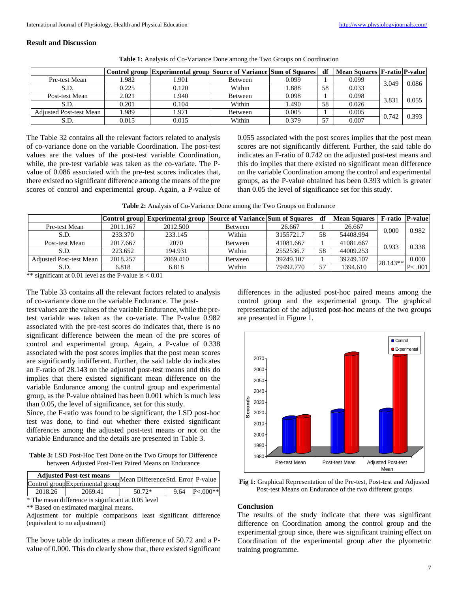#### **Result and Discussion**

| <b>Table 1:</b> Analysis of Co-Variance Done among the Two Groups on Coordination |  |
|-----------------------------------------------------------------------------------|--|
|                                                                                   |  |

|                                |       | Control group Experimental group Source of Variance Sum of Squares |                |       | df | Mean Squares   F-ratio   P-value |       |       |
|--------------------------------|-------|--------------------------------------------------------------------|----------------|-------|----|----------------------------------|-------|-------|
| Pre-test Mean                  | .982  | .901                                                               | <b>Between</b> | 0.099 |    | 0.099                            | 3.049 | 0.086 |
| S.D.                           | 0.225 | 0.120                                                              | Within         | .888  | 58 | 0.033                            |       |       |
| Post-test Mean                 | 2.021 | .940                                                               | <b>Between</b> | 0.098 |    | 0.098                            | 3.831 | 0.055 |
| S.D.                           | 0.201 | 0.104                                                              | Within         | .490  | 58 | 0.026                            |       |       |
| <b>Adjusted Post-test Mean</b> | 1.989 | .971                                                               | <b>Between</b> | 0.005 |    | 0.005                            | 0.742 | 0.393 |
| S.D.                           | 0.015 | 0.015                                                              | Within         | 0.379 | 57 | 0.007                            |       |       |

The Table 32 contains all the relevant factors related to analysis of co-variance done on the variable Coordination. The post-test values are the values of the post-test variable Coordination, while, the pre-test variable was taken as the co-variate. The Pvalue of 0.086 associated with the pre-test scores indicates that, there existed no significant difference among the means of the pre scores of control and experimental group. Again, a P-value of 0.055 associated with the post scores implies that the post mean scores are not significantly different. Further, the said table do indicates an F-ratio of 0.742 on the adjusted post-test means and this do implies that there existed no significant mean difference on the variable Coordination among the control and experimental groups, as the P-value obtained has been 0.393 which is greater than 0.05 the level of significance set for this study.

**Table 2:** Analysis of Co-Variance Done among the Two Groups on Endurance

|                                |          | Control group Experimental group Source of Variance Sum of Squares |         |           | df | <b>Mean Squares</b> |             | F-ratio   P-value |
|--------------------------------|----------|--------------------------------------------------------------------|---------|-----------|----|---------------------|-------------|-------------------|
| Pre-test Mean                  | 2011.167 | 2012.500                                                           | Between | 26.667    |    | 26.667              | 0.000       | 0.982             |
| S.D.                           | 233.370  | 233.145                                                            | Within  | 3155721.7 | 58 | 54408.994           |             |                   |
| Post-test Mean                 | 2017.667 | 2070                                                               | Between | 41081.667 |    | 41081.667           | 0.933       | 0.338             |
| S.D.                           | 223.652  | 194.931                                                            | Within  | 2552536.7 | 58 | 44009.253           |             |                   |
| <b>Adjusted Post-test Mean</b> | 2018.257 | 2069.410                                                           | Between | 39249.107 |    | 39249.107           | $128.143**$ | 0.000             |
| S.D.                           | 6.818    | 6.818                                                              | Within  | 79492.770 | 57 | 1394.610            |             | .001              |

\*\* significant at 0.01 level as the P-value is  $< 0.01$ 

The Table 33 contains all the relevant factors related to analysis of co-variance done on the variable Endurance. The post-

test values are the values of the variable Endurance, while the pretest variable was taken as the co-variate. The P-value 0.982 associated with the pre-test scores do indicates that, there is no significant difference between the mean of the pre scores of control and experimental group. Again, a P-value of 0.338 associated with the post scores implies that the post mean scores are significantly indifferent. Further, the said table do indicates an F-ratio of 28.143 on the adjusted post-test means and this do implies that there existed significant mean difference on the variable Endurance among the control group and experimental group, as the P-value obtained has been 0.001 which is much less than 0.05, the level of significance, set for this study.

Since, the F-ratio was found to be significant, the LSD post-hoc test was done, to find out whether there existed significant differences among the adjusted post-test means or not on the variable Endurance and the details are presented in Table 3.

**Table 3:** LSD Post-Hoc Test Done on the Two Groups for Difference between Adjusted Post-Test Paired Means on Endurance

|         | <b>Adjusted Post-test means</b> | Mean DifferenceStd. Error P-value |      |             |  |
|---------|---------------------------------|-----------------------------------|------|-------------|--|
|         | Control groupExperimental group |                                   |      |             |  |
| 2018.26 | 2069.41                         | $50.72*$                          | 9.64 | $P < 000**$ |  |
|         |                                 |                                   |      |             |  |

\* The mean difference is significant at 0.05 level \*\* Based on estimated marginal means.

Adjustment for multiple comparisons least significant difference (equivalent to no adjustment)

The bove table do indicates a mean difference of 50.72 and a Pvalue of 0.000. This do clearly show that, there existed significant

differences in the adjusted post-hoc paired means among the control group and the experimental group. The graphical representation of the adjusted post-hoc means of the two groups are presented in Figure 1.



**Fig 1:** Graphical Representation of the Pre-test, Post-test and Adjusted Post-test Means on Endurance of the two different groups

## **Conclusion**

The results of the study indicate that there was significant difference on Coordination among the control group and the experimental group since, there was significant training effect on Coordination of the experimental group after the plyometric training programme.